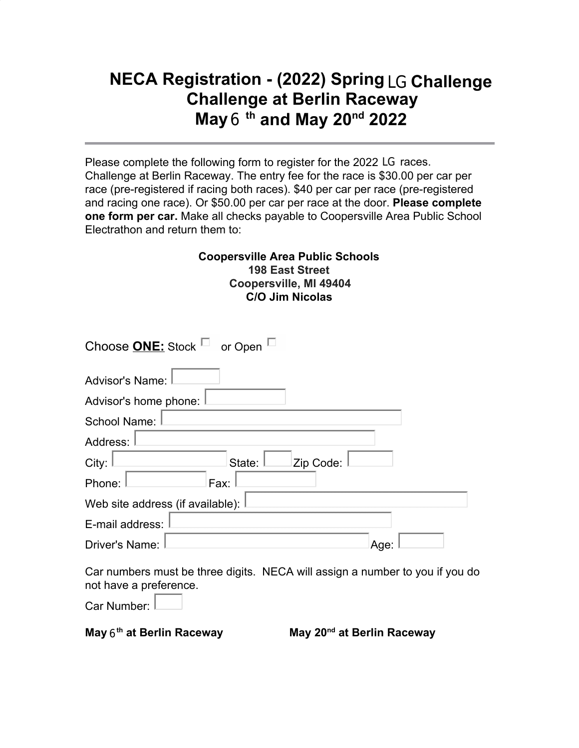## **NECA Registration - (2022) Spring** LG **Challenge Challenge at Berlin Raceway May** 6 **th and May 20nd 2022**

Please complete the following form to register for the 2022 LG races. Challenge at Berlin Raceway. The entry fee for the race is \$30.00 per car per race (pre-registered if racing both races). \$40 per car per race (pre-registered and racing one race). Or \$50.00 per car per race at the door. **Please complete one form per car.** Make all checks payable to Coopersville Area Public School Electrathon and return them to:

## **Coopersville Area Public Schools 198 East Street Coopersville, MI 49404 C/O Jim Nicolas**

| Choose <b>ONE:</b> Stock $\Box$ or Open $\Box$ |
|------------------------------------------------|
| Advisor's Name:                                |
| Advisor's home phone:                          |
| School Name:                                   |
| Address:                                       |
| City:<br>Zip Code:<br>State:                   |
| Phone:<br>Fax:                                 |
| Web site address (if available):               |
| E-mail address:                                |
| Driver's Name:<br>Age:                         |

Car numbers must be three digits. NECA will assign a number to you if you do not have a preference.

Car Number:

**May** 6 **th at Berlin Raceway May 20nd**

**May 20<sup>nd</sup> at Berlin Racewav**